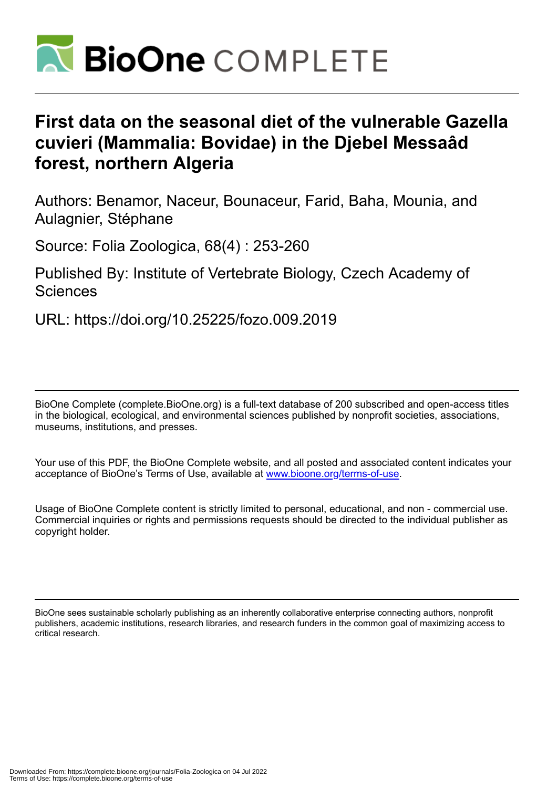

# **First data on the seasonal diet of the vulnerable Gazella cuvieri (Mammalia: Bovidae) in the Djebel Messaâd forest, northern Algeria**

Authors: Benamor, Naceur, Bounaceur, Farid, Baha, Mounia, and Aulagnier, Stéphane

Source: Folia Zoologica, 68(4) : 253-260

Published By: Institute of Vertebrate Biology, Czech Academy of Sciences

URL: https://doi.org/10.25225/fozo.009.2019

BioOne Complete (complete.BioOne.org) is a full-text database of 200 subscribed and open-access titles in the biological, ecological, and environmental sciences published by nonprofit societies, associations, museums, institutions, and presses.

Your use of this PDF, the BioOne Complete website, and all posted and associated content indicates your acceptance of BioOne's Terms of Use, available at www.bioone.org/terms-of-use.

Usage of BioOne Complete content is strictly limited to personal, educational, and non - commercial use. Commercial inquiries or rights and permissions requests should be directed to the individual publisher as copyright holder.

BioOne sees sustainable scholarly publishing as an inherently collaborative enterprise connecting authors, nonprofit publishers, academic institutions, research libraries, and research funders in the common goal of maximizing access to critical research.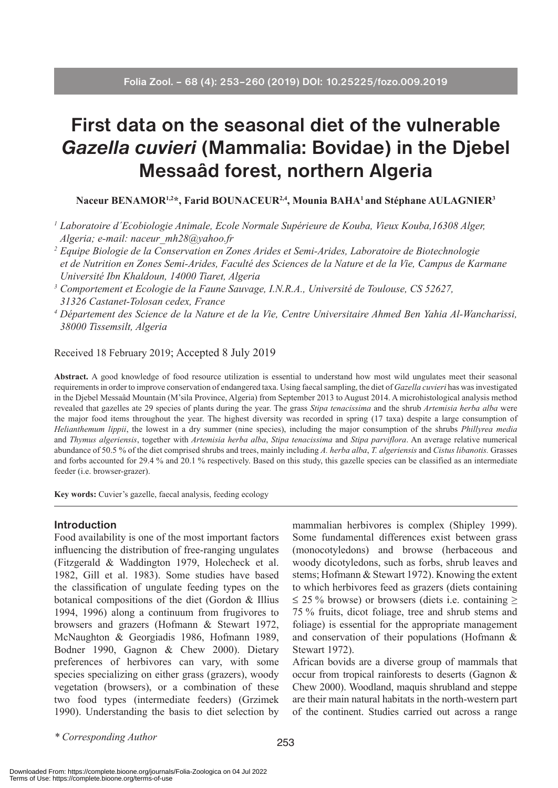# **First data on the seasonal diet of the vulnerable**  *Gazella cuvieri* **(Mammalia: Bovidae) in the Djebel Messaâd forest, northern Algeria**

Naceur BENAMOR<sup>1,2\*</sup>, Farid BOUNACEUR<sup>2,4</sup>, Mounia BAHA<sup>1</sup> and Stéphane AULAGNIER<sup>3</sup>

- *<sup>1</sup> Laboratoire d´Ecobiologie Animale, Ecole Normale Supérieure de Kouba, Vieux Kouba,16308 Alger, Algeria; e-mail: naceur\_mh28@yahoo.fr*
- *<sup>2</sup> Equipe Biologie de la Conservation en Zones Arides et Semi-Arides, Laboratoire de Biotechnologie et de Nutrition en Zones Semi-Arides, Faculté des Sciences de la Nature et de la Vie, Campus de Karmane Université Ibn Khaldoun, 14000 Tiaret, Algeria 3 Comportement et Ecologie de la Faune Sauvage, I.N.R.A., Université de Toulouse, CS 52627,*
- *31326 Castanet-Tolosan cedex, France*
- *<sup>4</sup> Département des Science de la Nature et de la Vie, Centre Universitaire Ahmed Ben Yahia Al-Wancharissi, 38000 Tissemsilt, Algeria*

## Received 18 February 2019; Accepted 8 July 2019

**Abstract.** A good knowledge of food resource utilization is essential to understand how most wild ungulates meet their seasonal requirements in order to improve conservation of endangered taxa. Using faecal sampling, the diet of *Gazella cuvieri* has was investigated in the Djebel Messaâd Mountain (M'sila Province, Algeria) from September 2013 to August 2014. A microhistological analysis method revealed that gazelles ate 29 species of plants during the year. The grass *Stipa tenacissima* and the shrub *Artemisia herba alba* were the major food items throughout the year. The highest diversity was recorded in spring (17 taxa) despite a large consumption of *Helianthemum lippii*, the lowest in a dry summer (nine species), including the major consumption of the shrubs *Phillyrea media*  and *Thymus algeriensis*, together with *Artemisia herba alba*, *Stipa tenacissima* and *Stipa parviflora*. An average relative numerical abundance of 50.5 % of the diet comprised shrubs and trees, mainly including *A. herba alba*, *T. algeriensis* and *Cistus libanotis.* Grasses and forbs accounted for 29.4 % and 20.1 % respectively. Based on this study, this gazelle species can be classified as an intermediate feeder (i.e. browser-grazer).

**Key words:** Cuvier's gazelle, faecal analysis, feeding ecology

#### **Introduction**

Food availability is one of the most important factors influencing the distribution of free-ranging ungulates (Fitzgerald & Waddington 1979, Holecheck et al. 1982, Gill et al. 1983). Some studies have based the classification of ungulate feeding types on the botanical compositions of the diet (Gordon & Illius 1994, 1996) along a continuum from frugivores to browsers and grazers (Hofmann & Stewart 1972, McNaughton & Georgiadis 1986, Hofmann 1989, Bodner 1990, Gagnon & Chew 2000). Dietary preferences of herbivores can vary, with some species specializing on either grass (grazers), woody vegetation (browsers), or a combination of these two food types (intermediate feeders) (Grzimek 1990). Understanding the basis to diet selection by

mammalian herbivores is complex (Shipley 1999). Some fundamental differences exist between grass (monocotyledons) and browse (herbaceous and woody dicotyledons, such as forbs, shrub leaves and stems; Hofmann & Stewart 1972). Knowing the extent to which herbivores feed as grazers (diets containing  $\leq$  25 % browse) or browsers (diets i.e. containing  $\geq$ 75 % fruits, dicot foliage, tree and shrub stems and foliage) is essential for the appropriate management and conservation of their populations (Hofmann & Stewart 1972).

African bovids are a diverse group of mammals that occur from tropical rainforests to deserts (Gagnon & Chew 2000). Woodland, maquis shrubland and steppe are their main natural habitats in the north-western part of the continent. Studies carried out across a range

*\* Corresponding Author*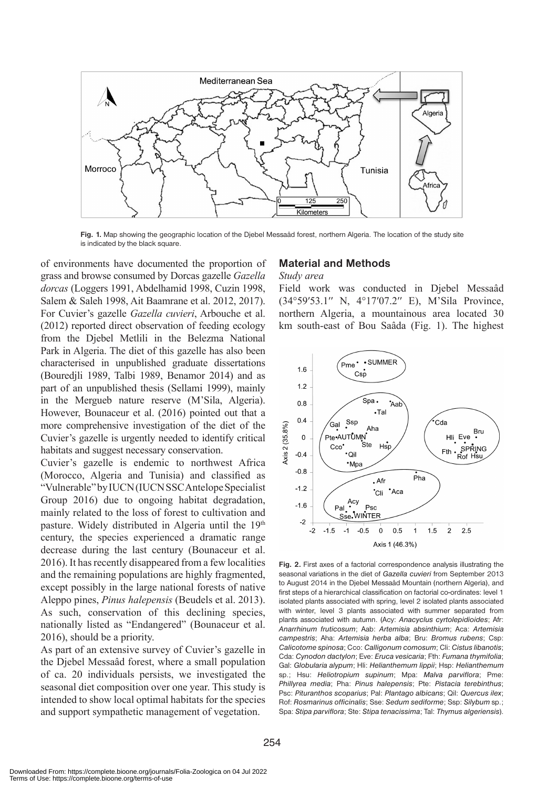

**Fig. 1.** Map showing the geographic location of the Djebel Messaâd forest, northern Algeria. The location of the study site is indicated by the black square.

of environments have documented the proportion of grass and browse consumed by Dorcas gazelle *Gazella dorcas* (Loggers 1991, Abdelhamid 1998, Cuzin 1998, Salem & Saleh 1998, Ait Baamrane et al. 2012, 2017). For Cuvier's gazelle *Gazella cuvieri*, Arbouche et al. (2012) reported direct observation of feeding ecology from the Djebel Metlili in the Belezma National Park in Algeria. The diet of this gazelle has also been characterised in unpublished graduate dissertations (Bouredjli 1989, Talbi 1989, Benamor 2014) and as part of an unpublished thesis (Sellami 1999), mainly in the Mergueb nature reserve (M'Sila, Algeria). However, Bounaceur et al. (2016) pointed out that a more comprehensive investigation of the diet of the Cuvier's gazelle is urgently needed to identify critical habitats and suggest necessary conservation.

Cuvier's gazelle is endemic to northwest Africa (Morocco, Algeria and Tunisia) and classified as "Vulnerable" by IUCN (IUCN SSC Antelope Specialist Group 2016) due to ongoing habitat degradation, mainly related to the loss of forest to cultivation and pasture. Widely distributed in Algeria until the 19<sup>th</sup> century, the species experienced a dramatic range decrease during the last century (Bounaceur et al. 2016). It has recently disappeared from a few localities and the remaining populations are highly fragmented, except possibly in the large national forests of native Aleppo pines, *Pinus halepensis* (Beudels et al. 2013). As such, conservation of this declining species, nationally listed as "Endangered" (Bounaceur et al. 2016), should be a priority.

As part of an extensive survey of Cuvier's gazelle in the Djebel Messaâd forest, where a small population of ca. 20 individuals persists, we investigated the seasonal diet composition over one year. This study is intended to show local optimal habitats for the species and support sympathetic management of vegetation.

## **Material and Methods**

#### *Study area*

Field work was conducted in Djebel Messaâd (34°59′53.1′′ N, 4°17′07.2′′ E), M'Sila Province, northern Algeria, a mountainous area located 30 km south-east of Bou Saâda (Fig. 1). The highest



**Fig. 2.** First axes of a factorial correspondence analysis illustrating the seasonal variations in the diet of *Gazella cuvieri* from September 2013 to August 2014 in the Djebel Messaâd Mountain (northern Algeria), and first steps of a hierarchical classification on factorial co-ordinates: level 1 isolated plants associated with spring, level 2 isolated plants associated with winter, level 3 plants associated with summer separated from plants associated with autumn. (Acy: *Anacyclus cyrtolepidioides*; Afr: *Anarrhinum fruticosum*; Aab: *Artemisia absinthium*; Aca: *Artemisia campestris*; Aha: *Artemisia herba alba*; Bru: *Bromus rubens*; Csp: *Calicotome spinosa*; Cco: *Calligonum comosum*; Cli: *Cistus libanotis*; Cda: *Cynodon dactylon*; Eve: *Eruca vesicaria*; Fth: *Fumana thymifolia*; Gal: *Globularia alypum*; Hli: *Helianthemum lippii*; Hsp: *Helianthemum*  sp.; Hsu: *Heliotropium supinum*; Mpa: *Malva parviflora*; Pme: *Phillyrea media*; Pha: *Pinus halepensis*; Pte: *Pistacia terebinthus*; Psc: *Pituranthos scoparius*; Pal: *Plantago albicans*; Qil: *Quercus ilex*; Rof: *Rosmarinus officinalis*; Sse: *Sedum sediforme*; Ssp: *Silybum* sp.; Spa: *Stipa parviflora*; Ste: *Stipa tenacissima*; Tal: *Thymus algeriensis*).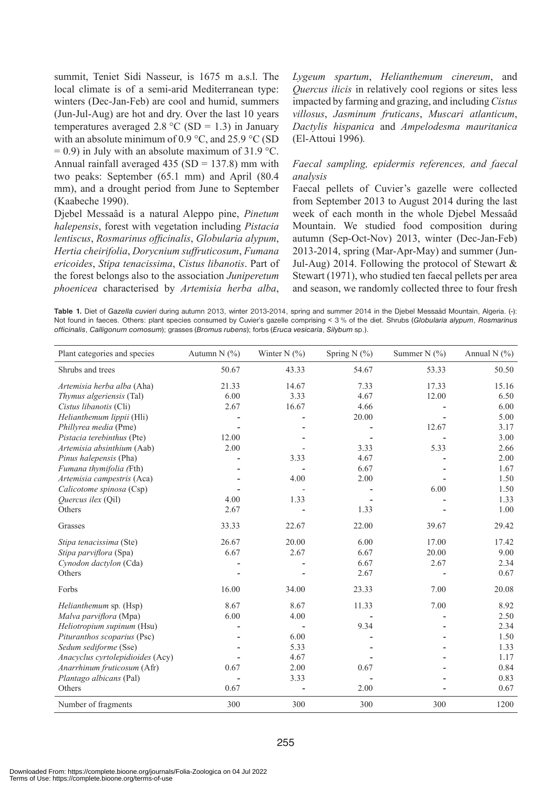summit, Teniet Sidi Nasseur, is 1675 m a.s.l. The local climate is of a semi-arid Mediterranean type: winters (Dec-Jan-Feb) are cool and humid, summers (Jun-Jul-Aug) are hot and dry. Over the last 10 years temperatures averaged 2.8 °C (SD = 1.3) in January with an absolute minimum of 0.9 °C, and 25.9 °C (SD  $= 0.9$ ) in July with an absolute maximum of 31.9 °C. Annual rainfall averaged  $435 (SD = 137.8)$  mm with two peaks: September (65.1 mm) and April (80.4 mm), and a drought period from June to September (Kaabeche 1990).

Djebel Messaâd is a natural Aleppo pine, *Pinetum halepensis*, forest with vegetation including *Pistacia lentiscus*, *Rosmarinus officinalis*, *Globularia alypum*, *Hertia cheirifolia*, *Dorycnium suffruticosum*, *Fumana ericoides*, *Stipa tenacissima*, *Cistus libanotis*. Part of the forest belongs also to the association *Juniperetum phoenicea* characterised by *Artemisia herba alba*,

*Lygeum spartum*, *Helianthemum cinereum*, and *Quercus ilicis* in relatively cool regions or sites less impacted by farming and grazing, and including *Cistus villosus*, *Jasminum fruticans*, *Muscari atlanticum*, *Dactylis hispanica* and *Ampelodesma mauritanica*  (El-Attoui 1996)*.*

### *Faecal sampling, epidermis references, and faecal analysis*

Faecal pellets of Cuvier's gazelle were collected from September 2013 to August 2014 during the last week of each month in the whole Djebel Messaâd Mountain. We studied food composition during autumn (Sep-Oct-Nov) 2013, winter (Dec-Jan-Feb) 2013-2014, spring (Mar-Apr-May) and summer (Jun-Jul-Aug) 2014. Following the protocol of Stewart  $\&$ Stewart (1971), who studied ten faecal pellets per area and season, we randomly collected three to four fresh

**Table 1.** Diet of *Gazella cuvieri* during autumn 2013, winter 2013-2014, spring and summer 2014 in the Djebel Messaâd Mountain, Algeria. (-): Not found in faeces. Others: plant species consumed by Cuvier's gazelle comprising < 3 % of the diet. Shrubs (*Globularia alypum*, *Rosmarinus officinalis*, *Calligonum comosum*); grasses (*Bromus rubens*); forbs (*Eruca vesicaria*, *Silybum* sp.).

| Plant categories and species     | Autumn $N$ (%) | Winter N $(\% )$ | Spring N $(\% )$ | Summer N $(\% )$ | Annual N $(\% )$ |
|----------------------------------|----------------|------------------|------------------|------------------|------------------|
| Shrubs and trees                 | 50.67          | 43.33            | 54.67            | 53.33            | 50.50            |
| Artemisia herba alba (Aha)       | 21.33          | 14.67            | 7.33             | 17.33            | 15.16            |
| <i>Thymus algeriensis</i> (Tal)  | 6.00           | 3.33             | 4.67             | 12.00            | 6.50             |
| Cistus libanotis (Cli)           | 2.67           | 16.67            | 4.66             |                  | 6.00             |
| Helianthemum lippii (Hli)        |                |                  | 20.00            |                  | 5.00             |
| Phillyrea media (Pme)            |                |                  |                  | 12.67            | 3.17             |
| Pistacia terebinthus (Pte)       | 12.00          |                  |                  |                  | 3.00             |
| Artemisia absinthium (Aab)       | 2.00           |                  | 3.33             | 5.33             | 2.66             |
| Pinus halepensis (Pha)           |                | 3.33             | 4.67             |                  | 2.00             |
| Fumana thymifolia (Fth)          |                |                  | 6.67             |                  | 1.67             |
| Artemisia campestris (Aca)       |                | 4.00             | 2.00             |                  | 1.50             |
| Calicotome spinosa (Csp)         |                |                  |                  | 6.00             | 1.50             |
| <i>Ouercus ilex</i> (Oil)        | 4.00           | 1.33             |                  |                  | 1.33             |
| Others                           | 2.67           |                  | 1.33             |                  | 1.00             |
| Grasses                          | 33.33          | 22.67            | 22.00            | 39.67            | 29.42            |
| Stipa tenacissima (Ste)          | 26.67          | 20.00            | 6.00             | 17.00            | 17.42            |
| Stipa parviflora (Spa)           | 6.67           | 2.67             | 6.67             | 20.00            | 9.00             |
| Cynodon dactylon (Cda)           |                |                  | 6.67             | 2.67             | 2.34             |
| Others                           |                |                  | 2.67             |                  | 0.67             |
| Forbs                            | 16.00          | 34.00            | 23.33            | 7.00             | 20.08            |
| Helianthemum sp. (Hsp)           | 8.67           | 8.67             | 11.33            | 7.00             | 8.92             |
| Malva parviflora (Mpa)           | 6.00           | 4.00             |                  |                  | 2.50             |
| Heliotropium supinum (Hsu)       |                |                  | 9.34             |                  | 2.34             |
| Pituranthos scoparius (Psc)      |                | 6.00             |                  |                  | 1.50             |
| Sedum sediforme (Sse)            |                | 5.33             |                  |                  | 1.33             |
| Anacyclus cyrtolepidioides (Acy) |                | 4.67             |                  |                  | 1.17             |
| Anarrhinum fruticosum (Afr)      | 0.67           | 2.00             | 0.67             |                  | 0.84             |
| Plantago albicans (Pal)          |                | 3.33             |                  |                  | 0.83             |
| Others                           | 0.67           |                  | 2.00             |                  | 0.67             |
| Number of fragments              | 300            | 300              | 300              | 300              | 1200             |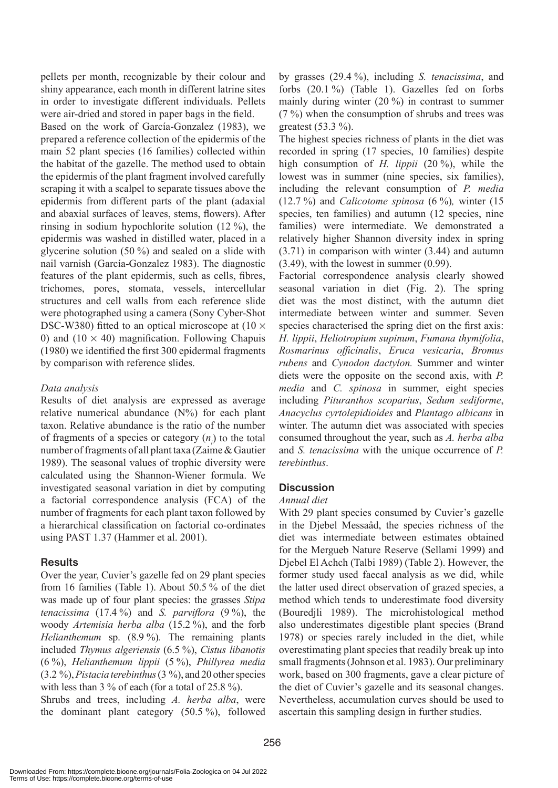pellets per month, recognizable by their colour and shiny appearance, each month in different latrine sites in order to investigate different individuals. Pellets were air-dried and stored in paper bags in the field.

Based on the work of García-Gonzalez (1983), we prepared a reference collection of the epidermis of the main 52 plant species (16 families) collected within the habitat of the gazelle. The method used to obtain the epidermis of the plant fragment involved carefully scraping it with a scalpel to separate tissues above the epidermis from different parts of the plant (adaxial and abaxial surfaces of leaves, stems, flowers). After rinsing in sodium hypochlorite solution (12 %), the epidermis was washed in distilled water, placed in a glycerine solution (50 %) and sealed on a slide with nail varnish (García-Gonzalez 1983). The diagnostic features of the plant epidermis, such as cells, fibres, trichomes, pores, stomata, vessels, intercellular structures and cell walls from each reference slide were photographed using a camera (Sony Cyber-Shot DSC-W380) fitted to an optical microscope at  $(10 \times$ 0) and  $(10 \times 40)$  magnification. Following Chapuis (1980) we identified the first 300 epidermal fragments by comparison with reference slides.

### *Data analysis*

Results of diet analysis are expressed as average relative numerical abundance  $(N\%)$  for each plant taxon. Relative abundance is the ratio of the number of fragments of a species or category  $(n_i)$  to the total number of fragments of all plant taxa (Zaime & Gautier 1989). The seasonal values of trophic diversity were calculated using the Shannon-Wiener formula. We investigated seasonal variation in diet by computing a factorial correspondence analysis (FCA) of the number of fragments for each plant taxon followed by a hierarchical classification on factorial co-ordinates using PAST 1.37 (Hammer et al. 2001).

# **Results**

Over the year, Cuvier's gazelle fed on 29 plant species from 16 families (Table 1). About 50.5 % of the diet was made up of four plant species: the grasses *Stipa tenacissima* (17.4 %) and *S. parviflora* (9 %), the woody *Artemisia herba alba* (15.2 %), and the forb *Helianthemum* sp. (8.9 %)*.* The remaining plants included *Thymus algeriensis* (6.5 %), *Cistus libanotis* (6 %), *Helianthemum lippii* (5 %), *Phillyrea media* (3.2 %), *Pistacia terebinthus* (3 %), and 20 other species with less than 3 % of each (for a total of 25.8 %).

Shrubs and trees, including *A. herba alba*, were the dominant plant category (50.5 %), followed by grasses (29.4 %), including *S. tenacissima*, and forbs (20.1 %) (Table 1). Gazelles fed on forbs mainly during winter (20 %) in contrast to summer  $(7 \%)$  when the consumption of shrubs and trees was greatest (53.3 %).

The highest species richness of plants in the diet was recorded in spring (17 species, 10 families) despite high consumption of *H. lippii* (20 %), while the lowest was in summer (nine species, six families), including the relevant consumption of *P. media*  (12.7 %) and *Calicotome spinosa* (6 %)*,* winter (15 species, ten families) and autumn (12 species, nine families) were intermediate. We demonstrated a relatively higher Shannon diversity index in spring (3.71) in comparison with winter (3.44) and autumn (3.49), with the lowest in summer (0.99).

Factorial correspondence analysis clearly showed seasonal variation in diet (Fig. 2). The spring diet was the most distinct, with the autumn diet intermediate between winter and summer. Seven species characterised the spring diet on the first axis: *H. lippii*, *Heliotropium supinum*, *Fumana thymifolia*, *Rosmarinus officinalis*, *Eruca vesicaria*, *Bromus rubens* and *Cynodon dactylon.* Summer and winter diets were the opposite on the second axis, with *P. media* and *C. spinosa* in summer, eight species including *Pituranthos scoparius*, *Sedum sediforme*, *Anacyclus cyrtolepidioides* and *Plantago albicans* in winter. The autumn diet was associated with species consumed throughout the year, such as *A. herba alba* and *S. tenacissima* with the unique occurrence of *P. terebinthus*.

# **Discussion**

### *Annual diet*

With 29 plant species consumed by Cuvier's gazelle in the Djebel Messaâd, the species richness of the diet was intermediate between estimates obtained for the Mergueb Nature Reserve (Sellami 1999) and Djebel El Achch (Talbi 1989) (Table 2). However, the former study used faecal analysis as we did, while the latter used direct observation of grazed species, a method which tends to underestimate food diversity (Bouredjli 1989). The microhistological method also underestimates digestible plant species (Brand 1978) or species rarely included in the diet, while overestimating plant species that readily break up into small fragments (Johnson et al. 1983). Our preliminary work, based on 300 fragments, gave a clear picture of the diet of Cuvier's gazelle and its seasonal changes. Nevertheless, accumulation curves should be used to ascertain this sampling design in further studies.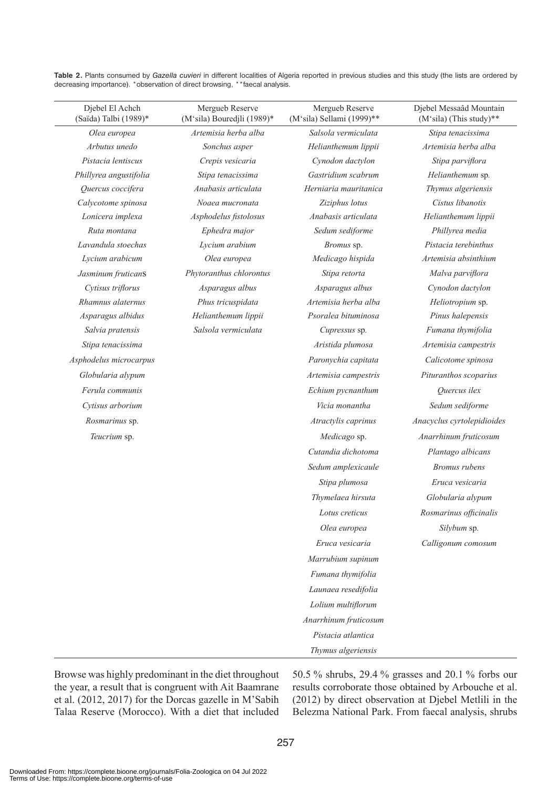| (Saïda) Talbi (1989)*  | (M'sila) Bouredjli (1989)* | (M'sila) Sellami (1999)** | $(M'sila)$ (This study)**  |
|------------------------|----------------------------|---------------------------|----------------------------|
| Olea europea           | Artemisia herba alba       | Salsola vermiculata       | Stipa tenacissima          |
| Arbutus unedo          | Sonchus asper              | Helianthemum lippii       | Artemisia herba alba       |
| Pistacia lentiscus     | Crepis vesicaria           | Cynodon dactylon          | Stipa parviflora           |
| Phillyrea angustifolia | Stipa tenacissima          | Gastridium scabrum        | Helianthemum sp.           |
| Quercus coccifera      | Anabasis articulata        | Herniaria mauritanica     | Thymus algeriensis         |
| Calycotome spinosa     | Noaea mucronata            | Ziziphus lotus            | Cistus libanotis           |
| Lonicera implexa       | Asphodelus fistolosus      | Anabasis articulata       | Helianthemum lippii        |
| Ruta montana           | Ephedra major              | Sedum sediforme           | Phillyrea media            |
| Lavandula stoechas     | Lycium arabium             | Bromus sp.                | Pistacia terebinthus       |
| Lycium arabicum        | Olea europea               | Medicago hispida          | Artemisia absinthium       |
| Jasminum fruticanS     | Phytoranthus chlorontus    | Stipa retorta             | Malva parviflora           |
| Cytisus triflorus      | Asparagus albus            | Asparagus albus           | Cynodon dactylon           |
| Rhamnus alaternus      | Phus tricuspidata          | Artemisia herba alba      | Heliotropium sp.           |
| Asparagus albidus      | Helianthemum lippii        | Psoralea bituminosa       | Pinus halepensis           |
| Salvia pratensis       | Salsola vermiculata        | Cupressus sp.             | Fumana thymifolia          |
| Stipa tenacissima      |                            | Aristida plumosa          | Artemisia campestris       |
| Asphodelus microcarpus |                            | Paronychia capitata       | Calicotome spinosa         |
| Globularia alypum      |                            | Artemisia campestris      | Pituranthos scoparius      |
| Ferula communis        |                            | Echium pycnanthum         | Quercus ilex               |
| Cytisus arborium       |                            | Vicia monantha            | Sedum sediforme            |
| Rosmarinus sp.         |                            | Atractylis caprinus       | Anacyclus cyrtolepidioides |
| Teucrium sp.           |                            | Medicago sp.              | Anarrhinum fruticosum      |
|                        |                            | Cutandia dichotoma        | Plantago albicans          |
|                        |                            | Sedum amplexicaule        | <b>Bromus</b> rubens       |
|                        |                            | Stipa plumosa             | Eruca vesicaria            |
|                        |                            | Thymelaea hirsuta         | Globularia alypum          |
|                        |                            | Lotus creticus            | Rosmarinus officinalis     |
|                        |                            | Olea europea              | Silybum sp.                |
|                        |                            | Eruca vesicaria           | Calligonum comosum         |
|                        |                            | Marrubium supinum         |                            |
|                        |                            | Fumana thymifolia         |                            |
|                        |                            | Launaea resedifolia       |                            |
|                        |                            | Lolium multiflorum        |                            |
|                        |                            | Anarrhinum fruticosum     |                            |
|                        |                            | Pistacia atlantica        |                            |
|                        |                            | Thymus algeriensis        |                            |
|                        |                            |                           |                            |

**Table 2.** Plants consumed by *Gazella cuvieri* in different localities of Algeria reported in previous studies and this study (the lists are ordered by decreasing importance). \*observation of direct browsing, \*\*faecal analysis.

Mergueb Reserve

Djebel Messaâd Mountain

Mergueb Reserve

Browse was highly predominant in the diet throughout the year, a result that is congruent with Ait Baamrane et al. (2012, 2017) for the Dorcas gazelle in M'Sabih Talaa Reserve (Morocco). With a diet that included 50.5 % shrubs, 29.4 % grasses and 20.1 % forbs our results corroborate those obtained by Arbouche et al. (2012) by direct observation at Djebel Metlili in the Belezma National Park. From faecal analysis, shrubs

Djebel El Achch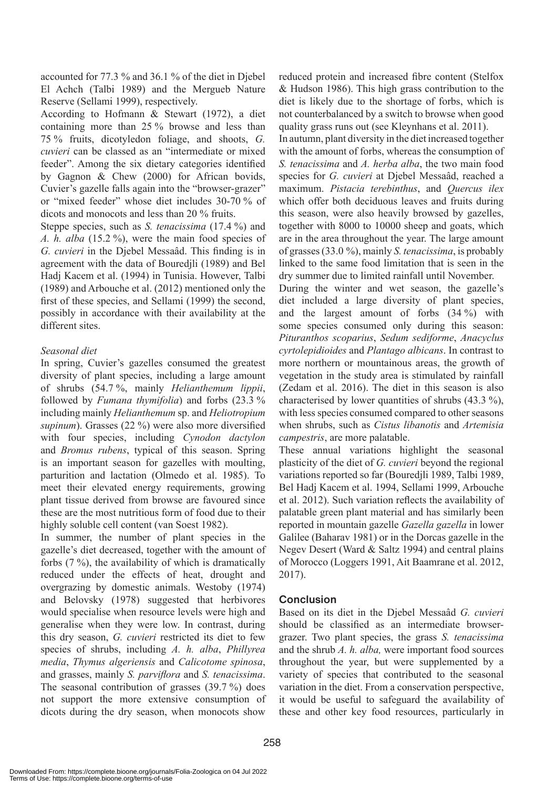accounted for 77.3 % and 36.1 % of the diet in Djebel El Achch (Talbi 1989) and the Mergueb Nature Reserve (Sellami 1999), respectively.

According to Hofmann & Stewart (1972), a diet containing more than 25 % browse and less than 75 % fruits, dicotyledon foliage, and shoots, *G. cuvieri* can be classed as an "intermediate or mixed feeder". Among the six dietary categories identified by Gagnon & Chew (2000) for African bovids, Cuvier's gazelle falls again into the "browser-grazer" or "mixed feeder" whose diet includes 30-70 % of dicots and monocots and less than 20 % fruits.

Steppe species, such as *S. tenacissima* (17.4 %) and *A. h. alba* (15.2 %), were the main food species of *G. cuvieri* in the Djebel Messaâd. This finding is in agreement with the data of Bouredjli (1989) and Bel Hadj Kacem et al. (1994) in Tunisia. However, Talbi (1989) and Arbouche et al. (2012) mentioned only the first of these species, and Sellami (1999) the second, possibly in accordance with their availability at the different sites.

# *Seasonal diet*

In spring, Cuvier's gazelles consumed the greatest diversity of plant species, including a large amount of shrubs (54.7 %, mainly *Helianthemum lippii*, followed by *Fumana thymifolia*) and forbs (23.3 % including mainly *Helianthemum* sp. and *Heliotropium supinum*). Grasses (22 %) were also more diversified with four species, including *Cynodon dactylon* and *Bromus rubens*, typical of this season. Spring is an important season for gazelles with moulting, parturition and lactation (Olmedo et al. 1985). To meet their elevated energy requirements, growing plant tissue derived from browse are favoured since these are the most nutritious form of food due to their highly soluble cell content (van Soest 1982).

In summer, the number of plant species in the gazelle's diet decreased, together with the amount of forbs (7 %), the availability of which is dramatically reduced under the effects of heat, drought and overgrazing by domestic animals. Westoby (1974) and Belovsky (1978) suggested that herbivores would specialise when resource levels were high and generalise when they were low. In contrast, during this dry season, *G. cuvieri* restricted its diet to few species of shrubs, including *A. h. alba*, *Phillyrea media*, *Thymus algeriensis* and *Calicotome spinosa*, and grasses, mainly *S. parviflora* and *S. tenacissima*. The seasonal contribution of grasses (39.7 %) does not support the more extensive consumption of dicots during the dry season, when monocots show

reduced protein and increased fibre content (Stelfox & Hudson 1986). This high grass contribution to the diet is likely due to the shortage of forbs, which is not counterbalanced by a switch to browse when good quality grass runs out (see Kleynhans et al. 2011).

In autumn, plant diversity in the diet increased together with the amount of forbs, whereas the consumption of *S. tenacissima* and *A. herba alba*, the two main food species for *G. cuvieri* at Djebel Messaâd, reached a maximum. *Pistacia terebinthus*, and *Quercus ilex* which offer both deciduous leaves and fruits during this season, were also heavily browsed by gazelles, together with 8000 to 10000 sheep and goats, which are in the area throughout the year. The large amount of grasses (33.0 %), mainly *S. tenacissima*, is probably linked to the same food limitation that is seen in the dry summer due to limited rainfall until November.

During the winter and wet season, the gazelle's diet included a large diversity of plant species, and the largest amount of forbs (34 %) with some species consumed only during this season: *Pituranthos scoparius*, *Sedum sediforme*, *Anacyclus cyrtolepidioides* and *Plantago albicans*. In contrast to more northern or mountainous areas, the growth of vegetation in the study area is stimulated by rainfall (Zedam et al. 2016). The diet in this season is also characterised by lower quantities of shrubs (43.3 %), with less species consumed compared to other seasons when shrubs, such as *Cistus libanotis* and *Artemisia campestris*, are more palatable.

These annual variations highlight the seasonal plasticity of the diet of *G. cuvieri* beyond the regional variations reported so far (Bouredjli 1989, Talbi 1989, Bel Hadj Kacem et al. 1994, Sellami 1999, Arbouche et al. 2012). Such variation reflects the availability of palatable green plant material and has similarly been reported in mountain gazelle *Gazella gazella* in lower Galilee (Baharav 1981) or in the Dorcas gazelle in the Negev Desert (Ward & Saltz 1994) and central plains of Morocco (Loggers 1991, Ait Baamrane et al. 2012, 2017).

# **Conclusion**

Based on its diet in the Djebel Messaâd *G. cuvieri* should be classified as an intermediate browsergrazer. Two plant species, the grass *S. tenacissima* and the shrub *A. h. alba,* were important food sources throughout the year, but were supplemented by a variety of species that contributed to the seasonal variation in the diet. From a conservation perspective, it would be useful to safeguard the availability of these and other key food resources, particularly in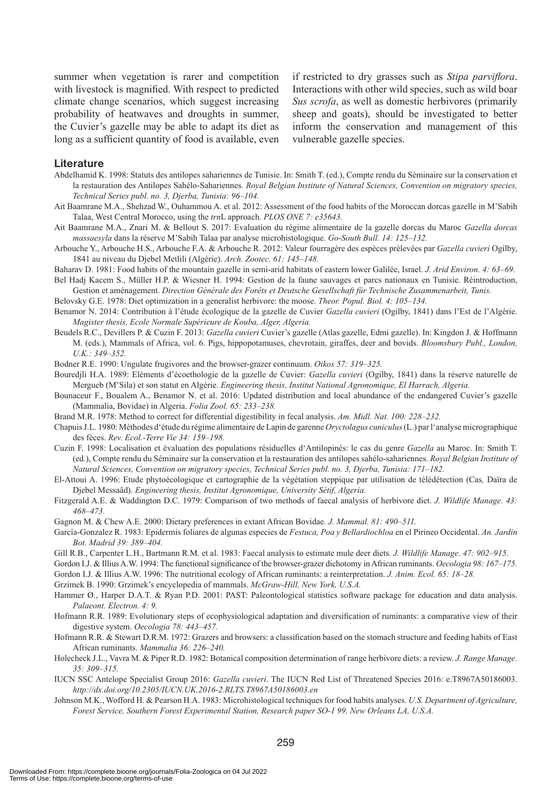summer when vegetation is rarer and competition with livestock is magnified. With respect to predicted climate change scenarios, which suggest increasing probability of heatwaves and droughts in summer, the Cuvier's gazelle may be able to adapt its diet as long as a sufficient quantity of food is available, even if restricted to dry grasses such as *Stipa parviflora*. Interactions with other wild species, such as wild boar *Sus scrofa*, as well as domestic herbivores (primarily sheep and goats), should be investigated to better inform the conservation and management of this vulnerable gazelle species.

#### **Literature**

- Abdelhamid K. 1998: Statuts des antilopes sahariennes de Tunisie. In: Smith T. (ed.), Compte rendu du Séminaire sur la conservation et la restauration des Antilopes Sahélo-Sahariennes. *Royal Belgian Institute of Natural Sciences, Convention on migratory species, Technical Series publ. no. 3, Djerba, Tunisia: 96–104.*
- Ait Baamrane M.A., Shehzad W., Ouhammou A. et al. 2012: Assessment of the food habits of the Moroccan dorcas gazelle in M'Sabih Talaa, West Central Morocco, using the *trn*L approach. *PLOS ONE 7: e35643.*
- Ait Baamrane M.A., Znari M. & Bellout S. 2017: Evaluation du régime alimentaire de la gazelle dorcas du Maroc *Gazella dorcas massaesyla* dans la réserve M'Sabih Talaa par analyse microhistologique. *Go-South Bull. 14: 125–132.*
- Arbouche Y., Arbouche H.S., Arbouche F.A. & Arbouche R. 2012: Valeur fourragère des espèces prélevées par *Gazella cuvieri* Ogilby, 1841 au niveau du Djebel Metlili (Algérie). *Arch. Zootec. 61: 145–148.*
- Baharav D. 1981: Food habits of the mountain gazelle in semi-arid habitats of eastern lower Galilée, Israel. *J. Arid Environ. 4: 63–69.*
- Bel Hadj Kacem S., Müller H.P. & Wiesner H. 1994: Gestion de la faune sauvages et parcs nationaux en Tunisie. Réintroduction, Gestion et aménagement. *Direction Générale des Forêts et Deutsche Gesellschaft für Technische Zusammenarbeit, Tunis.*
- Belovsky G.E. 1978: Diet optimization in a generalist herbivore: the moose. *Theor. Popul. Biol. 4: 105–134.*
- Benamor N. 2014: Contribution à l'étude écologique de la gazelle de Cuvier *Gazella cuvieri* (Ogilby, 1841) dans l'Est de l'Algérie. *Magister thesis, Ecole Normale Supérieure de Kouba, Alger, Algeria.*
- Beudels R.C., Devillers P. & Cuzin F. 2013: *Gazella cuvieri* Cuvier's gazelle (Atlas gazelle, Edmi gazelle). In: Kingdon J. & Hoffmann M. (eds.), Mammals of Africa, vol. 6. Pigs, hippopotamuses, chevrotain, giraffes, deer and bovids. *Bloomsbury Publ., London, U.K.: 349–352.*
- Bodner R.E. 1990: Ungulate frugivores and the browser-grazer continuum. *Oikos 57: 319–325.*
- Bouredjli H.A. 1989: Eléments d'écoethologie de la gazelle de Cuvier: *Gazella cuvieri* (Ogilby, 1841) dans la réserve naturelle de Mergueb (M'Sila) et son statut en Algérie. *Engineering thesis, Institut National Agronomique, El Harrach, Algeria.*
- Bounaceur F., Boualem A., Benamor N. et al. 2016: Updated distribution and local abundance of the endangered Cuvier's gazelle (Mammalia, Bovidae) in Algeria. *Folia Zool. 65: 233–238.*
- Brand M.R. 1978: Method to correct for differential digestibility in fecal analysis. *Am. Midl. Nat. 100: 228–232.*
- Chapuis J.L. 1980: Méthodes d'étude du régime alimentaire de Lapin de garenne *Oryctolagus cuniculus* (L.) par l'analyse micrographique des fèces. *Rev. Ecol.-Terre Vie 34: 159–198.*
- Cuzin F. 1998: Localisation et évaluation des populations résiduelles d'Antilopinés: le cas du genre *Gazella* au Maroc. In: Smith T. (ed.), Compte rendu du Séminaire sur la conservation et la restauration des antilopes sahélo-sahariennes. *Royal Belgian Institute of Natural Sciences, Convention on migratory species, Technical Series publ. no. 3, Djerba, Tunisia: 171–182.*
- El-Attoui A. 1996: Etude phytoécologique et cartographie de la végétation steppique par utilisation de télédétection (Cas*,* Daïra de Djebel Messaâd). *Engineering thesis, Institut Agronomique, University Sétif, Algeria.*
- Fitzgerald A.E. & Waddington D.C. 1979: Comparison of two methods of faecal analysis of herbivore diet. *J. Wildlife Manage. 43: 468–473.*
- Gagnon M. & Chew A.E. 2000: Dietary preferences in extant African Bovidae*. J. Mammal. 81: 490–511.*
- García-Gonzalez R. 1983: Epidermis foliares de algunas especies de *Festuca, Poa y Bellardiochloa* en el Pirineo Occidental. *An. Jardin Bot. Madrid 39: 389–404.*
- Gill R.B., Carpenter L.H., Bartmann R.M. et al. 1983: Faecal analysis to estimate mule deer diets*. J. Wildlife Manage. 47: 902–915.*
- Gordon I.J. & Illius A.W. 1994: The functional significance of the browser-grazer dichotomy in African ruminants. *Oecologia 98: 167–175.*

Gordon I.J. & Illius A.W. 1996: The nutritional ecology of African ruminants: a reinterpretation. *J. Anim. Ecol. 65: 18–28.*

Grzimek B. 1990: Grzimek's encyclopedia of mammals. *McGraw-Hill, New York, U.S.A.*

- Hammer Ø., Harper D.A.T. & Ryan P.D. 2001: PAST: Paleontological statistics software package for education and data analysis. *Palaeont. Electron. 4: 9.*
- Hofmann R.R. 1989: Evolutionary steps of ecophysiological adaptation and diversification of ruminants: a comparative view of their digestive system. *Oecologia 78: 443–457.*
- Hofmann R.R. & Stewart D.R.M. 1972: Grazers and browsers: a classification based on the stomach structure and feeding habits of East African ruminants. *Mammalia 36: 226–240.*
- Holecheck J.L., Vavra M. & Piper R.D. 1982: Botanical composition determination of range herbivore diets: a review. *J. Range Manage. 35: 309–315.*
- IUCN SSC Antelope Specialist Group 2016: *Gazella cuvieri*. The IUCN Red List of Threatened Species 2016: e.T8967A50186003. *http://dx.doi.org/10.2305/IUCN.UK.2016-2.RLTS.T8967A50186003.en*
- Johnson M.K., Wofford H. & Pearson H.A. 1983: Microhistological techniques for food habits analyses. *U.S. Department of Agriculture, Forest Service, Southern Forest Experimental Station, Research paper SO-1 99, New Orleans LA, U.S.A.*